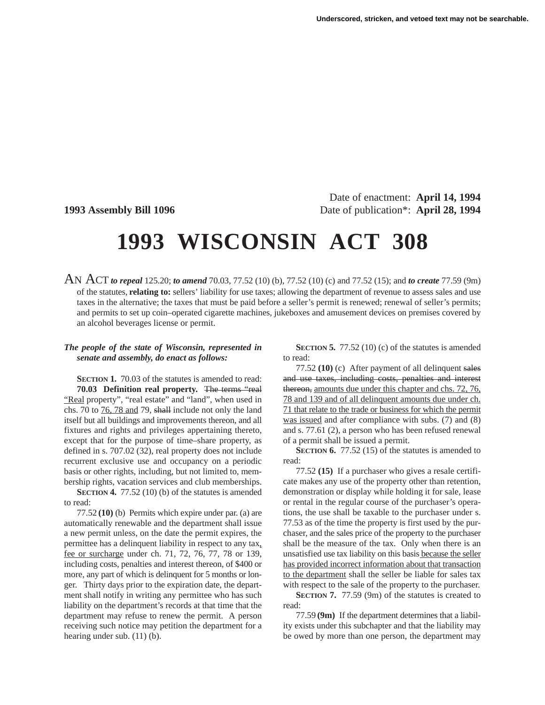Date of enactment: **April 14, 1994 1993 Assembly Bill 1096** Date of publication\*: **April 28, 1994**

## **1993 WISCONSIN ACT 308**

AN ACT *to repeal* 125.20; *to amend* 70.03, 77.52 (10) (b), 77.52 (10) (c) and 77.52 (15); and *to create* 77.59 (9m) of the statutes, **relating to:** sellers' liability for use taxes; allowing the department of revenue to assess sales and use taxes in the alternative; the taxes that must be paid before a seller's permit is renewed; renewal of seller's permits; and permits to set up coin–operated cigarette machines, jukeboxes and amusement devices on premises covered by an alcohol beverages license or permit.

## *The people of the state of Wisconsin, represented in senate and assembly, do enact as follows:*

**SECTION 1.** 70.03 of the statutes is amended to read: **70.03 Definition real property.** The terms "real "Real property", "real estate" and "land", when used in chs. 70 to 76, 78 and 79, shall include not only the land itself but all buildings and improvements thereon, and all fixtures and rights and privileges appertaining thereto, except that for the purpose of time–share property, as defined in s. 707.02 (32), real property does not include recurrent exclusive use and occupancy on a periodic basis or other rights, including, but not limited to, membership rights, vacation services and club memberships.

**SECTION 4.** 77.52 (10) (b) of the statutes is amended to read:

77.52 **(10)** (b) Permits which expire under par. (a) are automatically renewable and the department shall issue a new permit unless, on the date the permit expires, the permittee has a delinquent liability in respect to any tax, fee or surcharge under ch. 71, 72, 76, 77, 78 or 139, including costs, penalties and interest thereon, of \$400 or more, any part of which is delinquent for 5 months or longer. Thirty days prior to the expiration date, the department shall notify in writing any permittee who has such liability on the department's records at that time that the department may refuse to renew the permit. A person receiving such notice may petition the department for a hearing under sub. (11) (b).

**SECTION 5.** 77.52 (10) (c) of the statutes is amended to read:

77.52 **(10)** (c) After payment of all delinquent sales and use taxes, including costs, penalties and interest thereon, amounts due under this chapter and chs. 72, 76, 78 and 139 and of all delinquent amounts due under ch. 71 that relate to the trade or business for which the permit was issued and after compliance with subs. (7) and (8) and s. 77.61 (2), a person who has been refused renewal of a permit shall be issued a permit.

**SECTION 6.** 77.52 (15) of the statutes is amended to read:

77.52 **(15)** If a purchaser who gives a resale certificate makes any use of the property other than retention, demonstration or display while holding it for sale, lease or rental in the regular course of the purchaser's operations, the use shall be taxable to the purchaser under s. 77.53 as of the time the property is first used by the purchaser, and the sales price of the property to the purchaser shall be the measure of the tax. Only when there is an unsatisfied use tax liability on this basis because the seller has provided incorrect information about that transaction to the department shall the seller be liable for sales tax with respect to the sale of the property to the purchaser.

**SECTION 7.** 77.59 (9m) of the statutes is created to read:

77.59 **(9m)** If the department determines that a liability exists under this subchapter and that the liability may be owed by more than one person, the department may